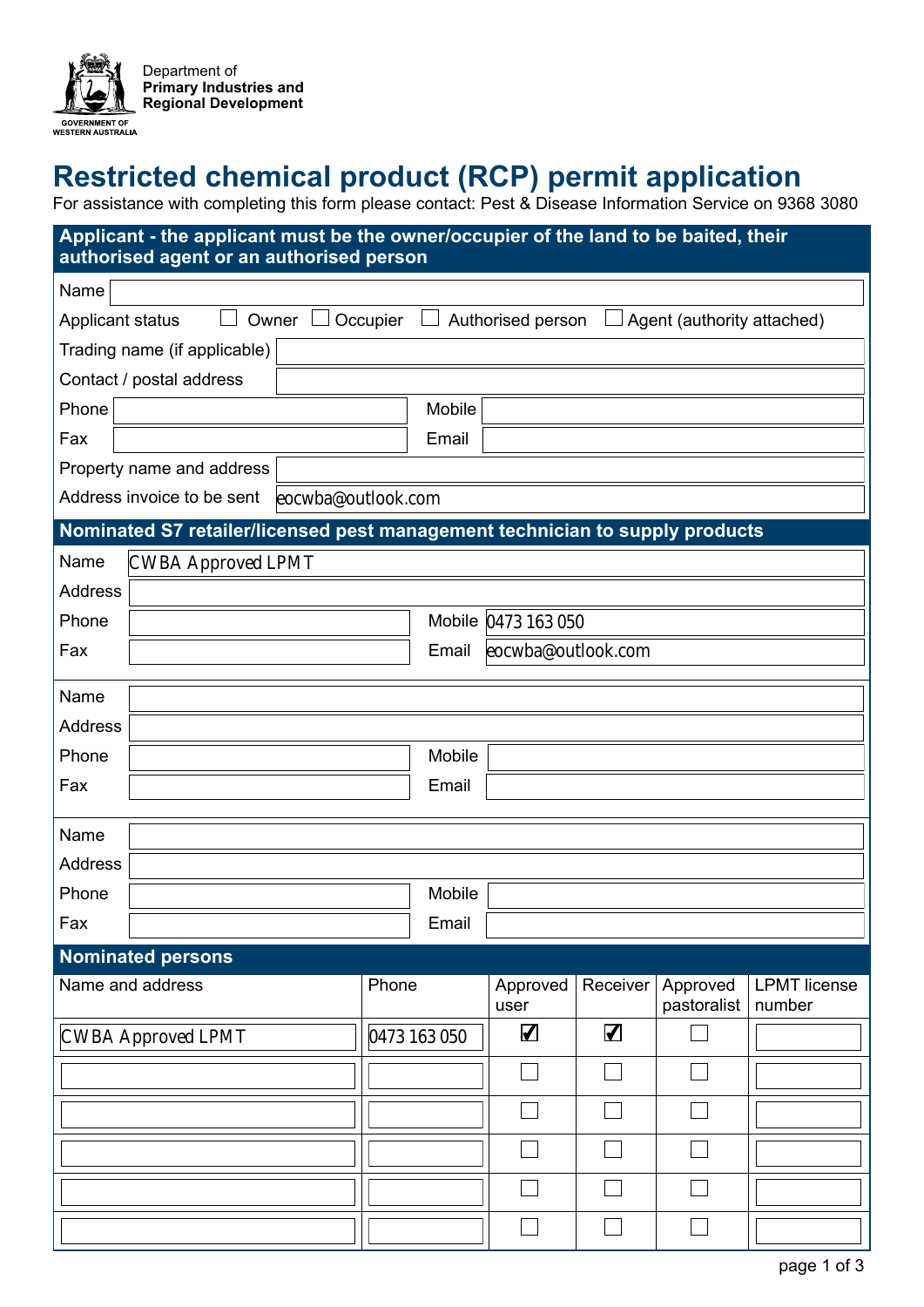

# **Restricted chemical product (RCP) permit application**

For assistance with completing this form please contact: Pest & Disease Information Service on 9368 3080

## **Applicant - the applicant must be the owner/occupier of the land to be baited, their authorised agent or an authorised person**

| Name                                                                                                            |                     |              |                      |                      |                         |                               |  |  |
|-----------------------------------------------------------------------------------------------------------------|---------------------|--------------|----------------------|----------------------|-------------------------|-------------------------------|--|--|
| Applicant status<br>Owner $\Box$<br>Occupier<br>Agent (authority attached)<br>Authorised person<br>$\mathbf{I}$ |                     |              |                      |                      |                         |                               |  |  |
| Trading name (if applicable)                                                                                    |                     |              |                      |                      |                         |                               |  |  |
| Contact / postal address                                                                                        |                     |              |                      |                      |                         |                               |  |  |
| Phone                                                                                                           |                     | Mobile       |                      |                      |                         |                               |  |  |
| Fax                                                                                                             |                     | Email        |                      |                      |                         |                               |  |  |
| Property name and address                                                                                       |                     |              |                      |                      |                         |                               |  |  |
| Address invoice to be sent                                                                                      | eocwba@outlook.com  |              |                      |                      |                         |                               |  |  |
| Nominated S7 retailer/licensed pest management technician to supply products                                    |                     |              |                      |                      |                         |                               |  |  |
| <b>CWBA Approved LPMT</b><br>Name                                                                               |                     |              |                      |                      |                         |                               |  |  |
| <b>Address</b>                                                                                                  |                     |              |                      |                      |                         |                               |  |  |
| Phone                                                                                                           | Mobile 0473 163 050 |              |                      |                      |                         |                               |  |  |
| Fax                                                                                                             |                     | Email        | eocwba@outlook.com   |                      |                         |                               |  |  |
| Name                                                                                                            |                     |              |                      |                      |                         |                               |  |  |
| Address                                                                                                         |                     |              |                      |                      |                         |                               |  |  |
| Phone                                                                                                           |                     | Mobile       |                      |                      |                         |                               |  |  |
|                                                                                                                 |                     |              |                      |                      |                         |                               |  |  |
| Fax                                                                                                             |                     | Email        |                      |                      |                         |                               |  |  |
| Name                                                                                                            |                     |              |                      |                      |                         |                               |  |  |
| <b>Address</b>                                                                                                  |                     |              |                      |                      |                         |                               |  |  |
| Phone                                                                                                           |                     | Mobile       |                      |                      |                         |                               |  |  |
| Fax                                                                                                             |                     | Email        |                      |                      |                         |                               |  |  |
| <b>Nominated persons</b>                                                                                        |                     |              |                      |                      |                         |                               |  |  |
| Name and address                                                                                                | Phone               |              | Approved<br>user     | Receiver             | Approved<br>pastoralist | <b>LPMT</b> license<br>number |  |  |
| <b>CWBA Approved LPMT</b>                                                                                       |                     | 0473 163 050 | $\blacktriangledown$ | $\blacktriangledown$ |                         |                               |  |  |
|                                                                                                                 |                     |              |                      |                      |                         |                               |  |  |
|                                                                                                                 |                     |              |                      |                      |                         |                               |  |  |
|                                                                                                                 |                     |              |                      |                      |                         |                               |  |  |
|                                                                                                                 |                     |              |                      |                      |                         |                               |  |  |
|                                                                                                                 |                     |              |                      |                      |                         |                               |  |  |
|                                                                                                                 |                     |              |                      |                      |                         |                               |  |  |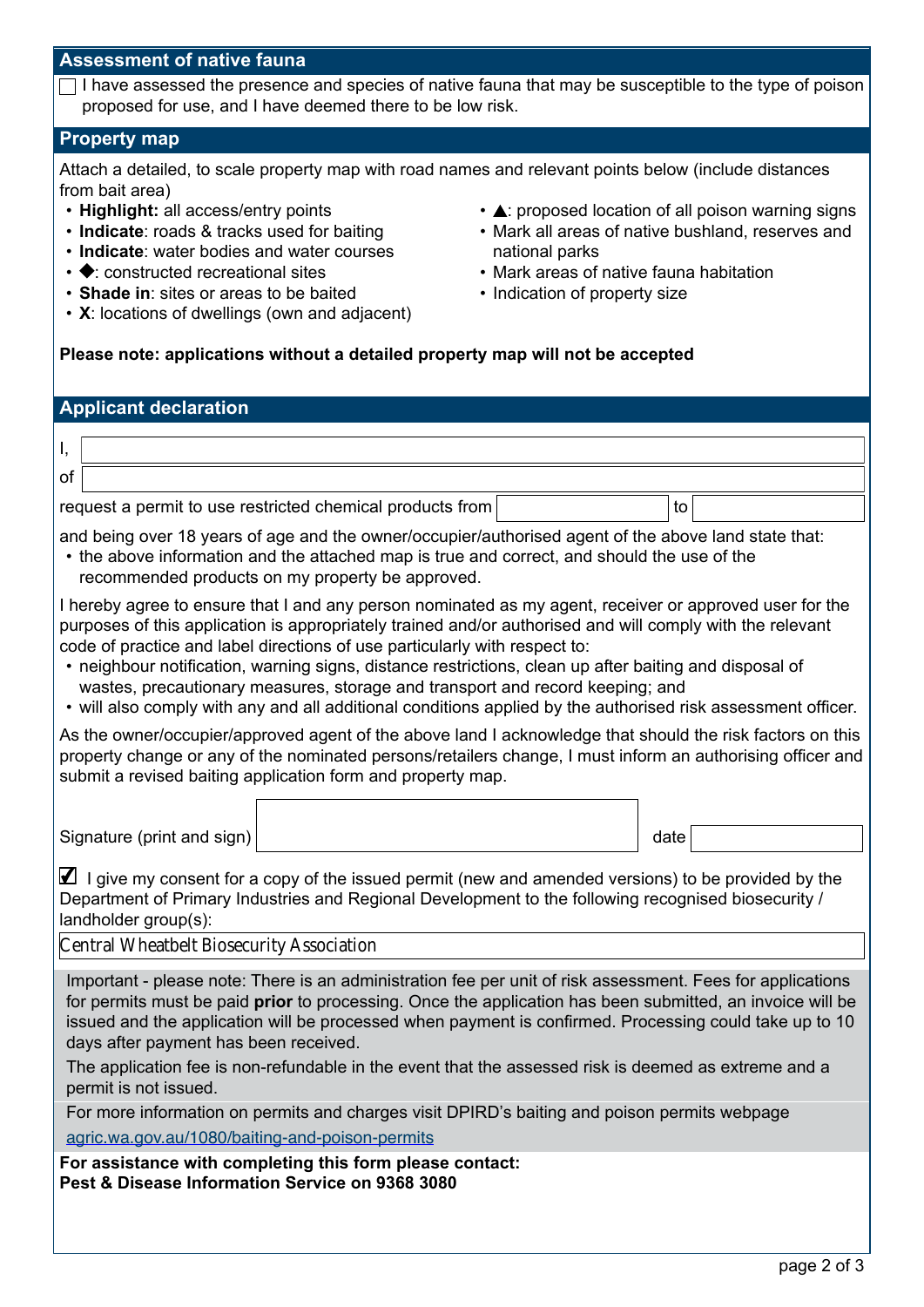#### **Assessment of native fauna**

I have assessed the presence and species of native fauna that may be susceptible to the type of poison proposed for use, and I have deemed there to be low risk.

#### **Property map**

Attach a detailed, to scale property map with road names and relevant points below (include distances from bait area)

- **Highlight:** all access/entry points
- **Indicate**: roads & tracks used for baiting
- **Indicate**: water bodies and water courses
- $\cdot \blacklozenge$ : constructed recreational sites
- **Shade in**: sites or areas to be baited
- **X**: locations of dwellings (own and adjacent)
- $\cdot$   $\triangle$ : proposed location of all poison warning signs
- Mark all areas of native bushland, reserves and national parks
- Mark areas of native fauna habitation
- Indication of property size

## **Please note: applications without a detailed property map will not be accepted**

## **Applicant declaration**

| . of                                                      |    |
|-----------------------------------------------------------|----|
| request a permit to use restricted chemical products from | to |

and being over 18 years of age and the owner/occupier/authorised agent of the above land state that:

• the above information and the attached map is true and correct, and should the use of the recommended products on my property be approved.

I hereby agree to ensure that I and any person nominated as my agent, receiver or approved user for the purposes of this application is appropriately trained and/or authorised and will comply with the relevant code of practice and label directions of use particularly with respect to:

- neighbour notification, warning signs, distance restrictions, clean up after baiting and disposal of wastes, precautionary measures, storage and transport and record keeping; and
- will also comply with any and all additional conditions applied by the authorised risk assessment officer.

As the owner/occupier/approved agent of the above land I acknowledge that should the risk factors on this property change or any of the nominated persons/retailers change, I must inform an authorising officer and submit a revised baiting application form and property map.

Signature (print and sign) date and  $\frac{1}{2}$  date

 $\Box$  I give my consent for a copy of the issued permit (new and amended versions) to be provided by the Department of Primary Industries and Regional Development to the following recognised biosecurity / landholder group(s):

Central Wheatbelt Biosecurity Association

Important - please note: There is an administration fee per unit of risk assessment. Fees for applications for permits must be paid **prior** to processing. Once the application has been submitted, an invoice will be issued and the application will be processed when payment is confirmed. Processing could take up to 10 days after payment has been received.

The application fee is non-refundable in the event that the assessed risk is deemed as extreme and a permit is not issued.

For more information on permits and charges visit DPIRD's baiting and poison permits webpage

[agric.wa.gov.au/1080/baiting-and-poison-permits](https://www.agric.wa.gov.au/1080/baiting-and-poison-permits)

**For assistance with completing this form please contact: Pest & Disease Information Service on 9368 3080**